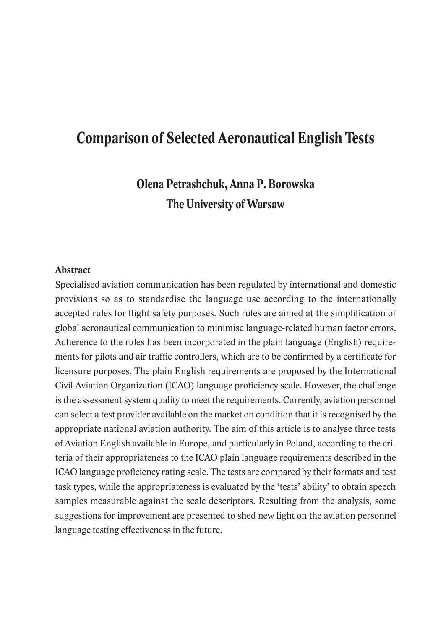# **Comparison of Selected Aeronautical English Tests**

**Olena Petrashchuk, Anna P. Borowska The University of Warsaw**

#### **Abstract**

Specialised aviation communication has been regulated by international and domestic provisions so as to standardise the language use according to the internationally accepted rules for flight safety purposes. Such rules are aimed at the simplification of global aeronautical communication to minimise language-related human factor errors. Adherence to the rules has been incorporated in the plain language (English) requirements for pilots and air traffic controllers, which are to be confirmed by a certificate for licensure purposes. The plain English requirements are proposed by the International Civil Aviation Organization (ICAO) language proficiency scale. However, the challenge is the assessment system quality to meet the requirements. Currently, aviation personnel can select a test provider available on the market on condition that it is recognised by the appropriate national aviation authority. The aim of this article is to analyse three tests of Aviation English available in Europe, and particularly in Poland, according to the criteria of their appropriateness to the ICAO plain language requirements described in the ICAO language proficiency rating scale. The tests are compared by their formats and test task types, while the appropriateness is evaluated by the 'tests' ability' to obtain speech samples measurable against the scale descriptors. Resulting from the analysis, some suggestions for improvement are presented to shed new light on the aviation personnel language testing effectiveness in the future.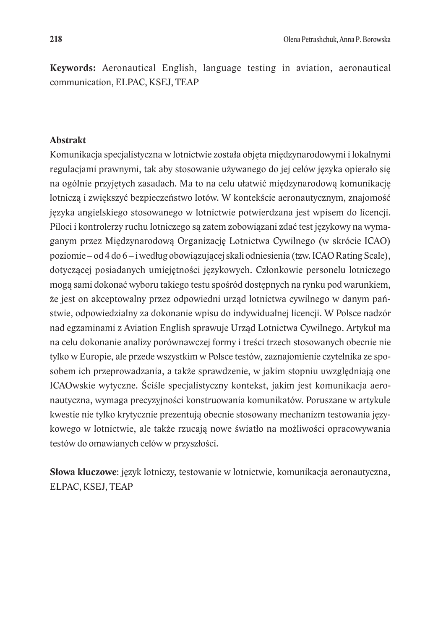**Keywords:** Aeronautical English, language testing in aviation, aeronautical communication, ELPAC, KSEJ, TEAP

#### **Abstrakt**

Komunikacja specjalistyczna w lotnictwie została objęta międzynarodowymi i lokalnymi regulacjami prawnymi, tak aby stosowanie używanego do jej celów języka opierało się na ogólnie przyjętych zasadach. Ma to na celu ułatwić międzynarodową komunikację lotniczą i zwiększyć bezpieczeństwo lotów. W kontekście aeronautycznym, znajomość języka angielskiego stosowanego w lotnictwie potwierdzana jest wpisem do licencji. Piloci i kontrolerzy ruchu lotniczego są zatem zobowiązani zdać test językowy na wymaganym przez Międzynarodową Organizację Lotnictwa Cywilnego (w skrócie ICAO) poziomie – od 4 do 6 – iwedług obowiązującej skali odniesienia (tzw. ICAO Rating Scale), dotyczącej posiadanych umiejętności językowych. Członkowie personelu lotniczego mogą sami dokonać wyboru takiego testu spośród dostępnych na rynku pod warunkiem, że jest on akceptowalny przez odpowiedni urząd lotnictwa cywilnego w danym państwie, odpowiedzialny za dokonanie wpisu do indywidualnej licencji. W Polsce nadzór nad egzaminami z Aviation English sprawuje Urząd Lotnictwa Cywilnego. Artykuł ma na celu dokonanie analizy porównawczej formy i treści trzech stosowanych obecnie nie tylko w Europie, ale przede wszystkim w Polsce testów, zaznajomienie czytelnika ze sposobem ich przeprowadzania, a także sprawdzenie, w jakim stopniu uwzględniają one ICAOwskie wytyczne. Ściśle specjalistyczny kontekst, jakim jest komunikacja aeronautyczna, wymaga precyzyjności konstruowania komunikatów. Poruszane w artykule kwestie nie tylko krytycznie prezentują obecnie stosowany mechanizm testowania językowego w lotnictwie, ale także rzucają nowe światło na możliwości opracowywania testów do omawianych celów w przyszłości.

**Słowa kluczowe**: język lotniczy, testowanie w lotnictwie, komunikacja aeronautyczna, ELPAC, KSEJ, TEAP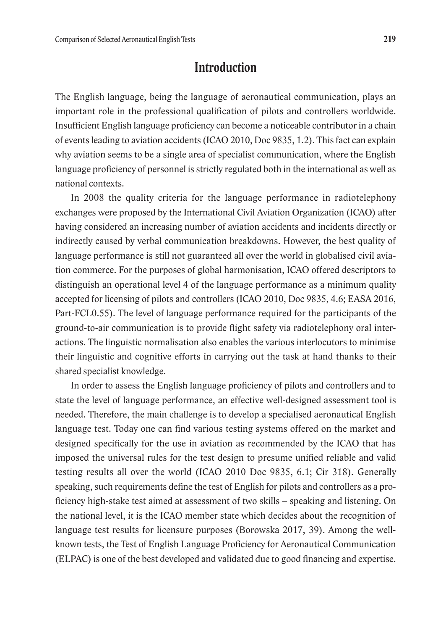#### **Introduction**

The English language, being the language of aeronautical communication, plays an important role in the professional qualification of pilots and controllers worldwide. Insufficient English language proficiency can become a noticeable contributor in a chain of events leading to aviation accidents (ICAO 2010, Doc 9835, 1.2). This fact can explain why aviation seems to be a single area of specialist communication, where the English language proficiency of personnel is strictly regulated both in the international as well as national contexts.

In 2008 the quality criteria for the language performance in radiotelephony exchanges were proposed by the International Civil Aviation Organization (ICAO) after having considered an increasing number of aviation accidents and incidents directly or indirectly caused by verbal communication breakdowns. However, the best quality of language performance is still not guaranteed all over the world in globalised civil aviation commerce. For the purposes of global harmonisation, ICAO offered descriptors to distinguish an operational level 4 of the language performance as a minimum quality accepted for licensing of pilots and controllers (ICAO 2010, Doc 9835, 4.6; EASA 2016, Part-FCL0.55). The level of language performance required for the participants of the ground-to-air communication is to provide flight safety via radiotelephony oral interactions. The linguistic normalisation also enables the various interlocutors to minimise their linguistic and cognitive efforts in carrying out the task at hand thanks to their shared specialist knowledge.

In order to assess the English language proficiency of pilots and controllers and to state the level of language performance, an effective well-designed assessment tool is needed. Therefore, the main challenge is to develop a specialised aeronautical English language test. Today one can find various testing systems offered on the market and designed specifically for the use in aviation as recommended by the ICAO that has imposed the universal rules for the test design to presume unified reliable and valid testing results all over the world (ICAO 2010 Doc 9835, 6.1; Cir 318). Generally speaking, such requirements define the test of English for pilots and controllers as a proficiency high-stake test aimed at assessment of two skills – speaking and listening. On the national level, it is the ICAO member state which decides about the recognition of language test results for licensure purposes (Borowska 2017, 39). Among the wellknown tests, the Test of English Language Proficiency for Aeronautical Communication (ELPAC) is one of the best developed and validated due to good financing and expertise.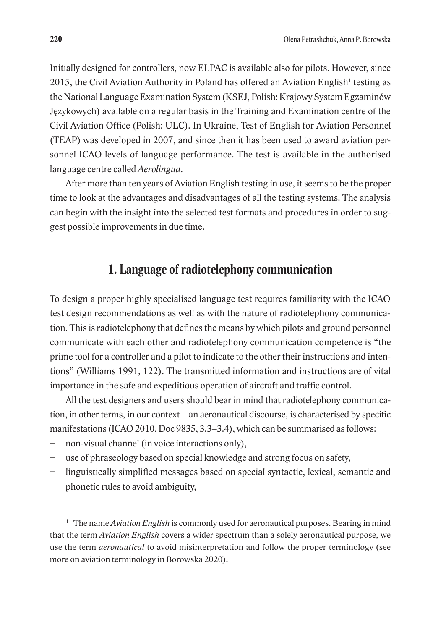Initially designed for controllers, now ELPAC is available also for pilots. However, since 2015, the Civil Aviation Authority in Poland has offered an Aviation English<sup>1</sup> testing as the National Language Examination System (KSEJ, Polish: Krajowy System Egzaminów Językowych) available on a regular basis in the Training and Examination centre of the Civil Aviation Office (Polish: ULC). In Ukraine, Test of English for Aviation Personnel (TEAP) was developed in 2007, and since then it has been used to award aviation personnel ICAO levels of language performance. The test is available in the authorised language centre called *Aerolingua*.

After more than ten years of Aviation English testing in use, it seems to be the proper time to look at the advantages and disadvantages of all the testing systems. The analysis can begin with the insight into the selected test formats and procedures in order to suggest possible improvements in due time.

#### **1. Language of radiotelephony communication**

To design a proper highly specialised language test requires familiarity with the ICAO test design recommendations as well as with the nature of radiotelephony communication. This is radiotelephony that defines the means by which pilots and ground personnel communicate with each other and radiotelephony communication competence is "the prime tool for a controller and a pilot to indicate to the other their instructions and intentions" (Williams 1991, 122). The transmitted information and instructions are of vital importance in the safe and expeditious operation of aircraft and traffic control.

All the test designers and users should bear in mind that radiotelephony communication, in other terms, in our context – an aeronautical discourse, is characterised by specific manifestations (ICAO 2010, Doc 9835, 3.3–3.4), which can be summarised as follows:

- non-visual channel (in voice interactions only),
- use of phraseology based on special knowledge and strong focus on safety,
- − linguistically simplified messages based on special syntactic, lexical, semantic and phonetic rules to avoid ambiguity,

<sup>1</sup> The name *Aviation English* is commonly used for aeronautical purposes. Bearing in mind that the term *Aviation English* covers a wider spectrum than a solely aeronautical purpose, we use the term *aeronautical* to avoid misinterpretation and follow the proper terminology (see more on aviation terminology in Borowska 2020).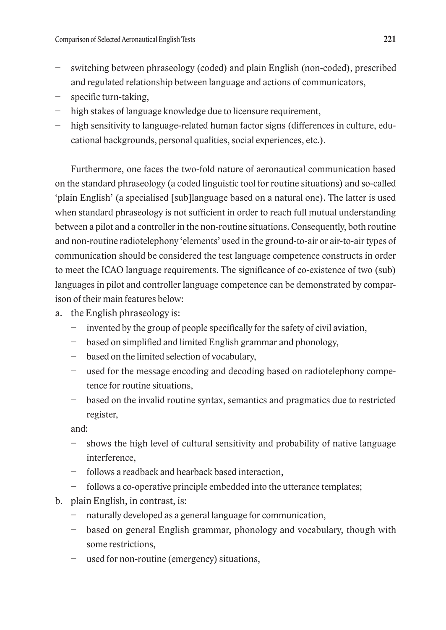- switching between phraseology (coded) and plain English (non-coded), prescribed and regulated relationship between language and actions of communicators,
- specific turn-taking,
- − high stakes of language knowledge due to licensure requirement,
- − high sensitivity to language-related human factor signs (differences in culture, educational backgrounds, personal qualities, social experiences, etc.).

Furthermore, one faces the two-fold nature of aeronautical communication based on the standard phraseology (a coded linguistic tool for routine situations) and so-called 'plain English' (a specialised [sub]language based on a natural one). The latter is used when standard phraseology is not sufficient in order to reach full mutual understanding between a pilot and a controller in the non-routine situations. Consequently, both routine and non-routine radiotelephony 'elements' used in the ground-to-air or air-to-air types of communication should be considered the test language competence constructs in order to meet the ICAO language requirements. The significance of co-existence of two (sub) languages in pilot and controller language competence can be demonstrated by comparison of their main features below:

- a. the English phraseology is:
	- − invented by the group of people specifically for the safety of civil aviation,
	- − based on simplified and limited English grammar and phonology,
	- − based on the limited selection of vocabulary,
	- − used for the message encoding and decoding based on radiotelephony competence for routine situations,
	- − based on the invalid routine syntax, semantics and pragmatics due to restricted register,

and:

- − shows the high level of cultural sensitivity and probability of native language interference,
- − follows a readback and hearback based interaction,
- follows a co-operative principle embedded into the utterance templates;
- b. plain English, in contrast, is:
	- naturally developed as a general language for communication,
	- − based on general English grammar, phonology and vocabulary, though with some restrictions,
	- used for non-routine (emergency) situations,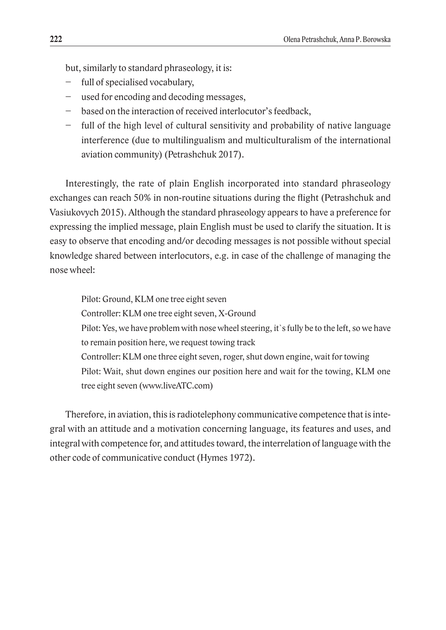but, similarly to standard phraseology, it is:

- full of specialised vocabulary,
- used for encoding and decoding messages,
- − based on the interaction of received interlocutor's feedback,
- − full of the high level of cultural sensitivity and probability of native language interference (due to multilingualism and multiculturalism of the international aviation community) (Petrashchuk 2017).

Interestingly, the rate of plain English incorporated into standard phraseology exchanges can reach 50% in non-routine situations during the flight (Petrashchuk and Vasiukovych 2015). Although the standard phraseology appears to have a preference for expressing the implied message, plain English must be used to clarify the situation. It is easy to observe that encoding and/or decoding messages is not possible without special knowledge shared between interlocutors, e.g. in case of the challenge of managing the nose wheel:

Pilot: Ground, KLM one tree eight seven Controller: KLM one tree eight seven, X-Ground Pilot: Yes, we have problem with nose wheel steering, it's fully be to the left, so we have to remain position here, we request towing track Controller: KLM one three eight seven, roger, shut down engine, wait for towing Pilot: Wait, shut down engines our position here and wait for the towing, KLM one tree eight seven (www.liveATC.com)

Therefore, in aviation, this is radiotelephony communicative competence that is integral with an attitude and a motivation concerning language, its features and uses, and integral with competence for, and attitudes toward, the interrelation of language with the other code of communicative conduct (Hymes 1972).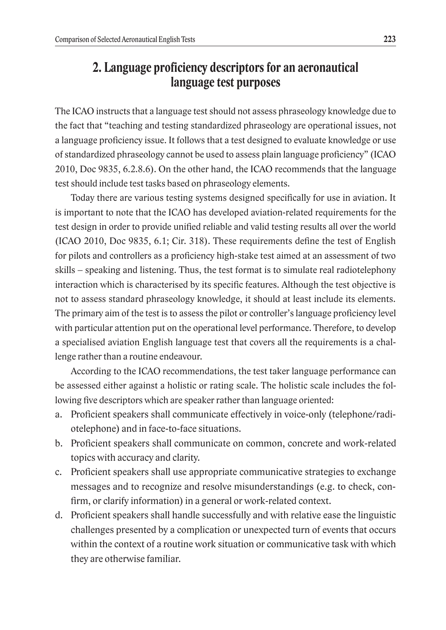### **2. Language proficiency descriptors for an aeronautical language test purposes**

The ICAO instructs that a language test should not assess phraseology knowledge due to the fact that "teaching and testing standardized phraseology are operational issues, not a language proficiency issue. It follows that a test designed to evaluate knowledge or use of standardized phraseology cannot be used to assess plain language proficiency" (ICAO 2010, Doc 9835, 6.2.8.6). On the other hand, the ICAO recommends that the language test should include test tasks based on phraseology elements.

Today there are various testing systems designed specifically for use in aviation. It is important to note that the ICAO has developed aviation-related requirements for the test design in order to provide unified reliable and valid testing results all over the world (ICAO 2010, Doc 9835, 6.1; Cir. 318). These requirements define the test of English for pilots and controllers as a proficiency high-stake test aimed at an assessment of two skills – speaking and listening. Thus, the test format is to simulate real radiotelephony interaction which is characterised by its specific features. Although the test objective is not to assess standard phraseology knowledge, it should at least include its elements. The primary aim of the test is to assess the pilot or controller's language proficiency level with particular attention put on the operational level performance. Therefore, to develop a specialised aviation English language test that covers all the requirements is a challenge rather than a routine endeavour.

According to the ICAO recommendations, the test taker language performance can be assessed either against a holistic or rating scale. The holistic scale includes the following five descriptors which are speaker rather than language oriented:

- a. Proficient speakers shall communicate effectively in voice-only (telephone/radiotelephone) and in face-to-face situations.
- b. Proficient speakers shall communicate on common, concrete and work-related topics with accuracy and clarity.
- c. Proficient speakers shall use appropriate communicative strategies to exchange messages and to recognize and resolve misunderstandings (e.g. to check, confirm, or clarify information) in a general or work-related context.
- d. Proficient speakers shall handle successfully and with relative ease the linguistic challenges presented by a complication or unexpected turn of events that occurs within the context of a routine work situation or communicative task with which they are otherwise familiar.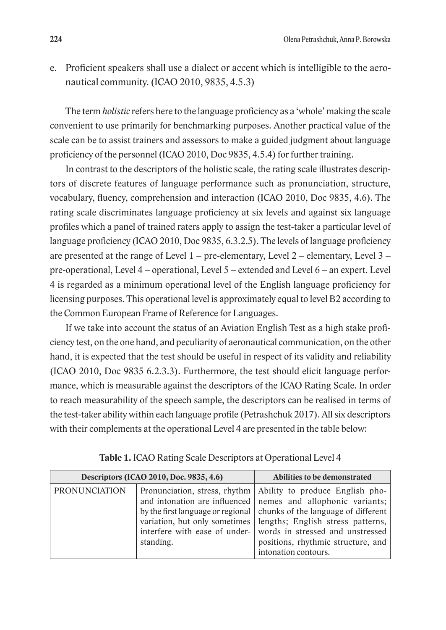e. Proficient speakers shall use a dialect or accent which is intelligible to the aeronautical community. (ICAO 2010, 9835, 4.5.3)

The term *holistic* refers here to the language proficiency as a 'whole' making the scale convenient to use primarily for benchmarking purposes. Another practical value of the scale can be to assist trainers and assessors to make a guided judgment about language proficiency of the personnel (ICAO 2010, Doc 9835, 4.5.4) for further training.

In contrast to the descriptors of the holistic scale, the rating scale illustrates descriptors of discrete features of language performance such as pronunciation, structure, vocabulary, fluency, comprehension and interaction (ICAO 2010, Doc 9835, 4.6). The rating scale discriminates language proficiency at six levels and against six language profiles which a panel of trained raters apply to assign the test-taker a particular level of language proficiency (ICAO 2010, Doc 9835, 6.3.2.5). The levels of language proficiency are presented at the range of Level  $1$  – pre-elementary, Level  $2$  – elementary, Level  $3$  – pre-operational, Level 4 – operational, Level 5 – extended and Level 6 – an expert. Level 4 is regarded as a minimum operational level of the English language proficiency for licensing purposes. This operational level is approximately equal to level B2 according to the Common European Frame of Reference for Languages.

If we take into account the status of an Aviation English Test as a high stake proficiency test, on the one hand, and peculiarity of aeronautical communication, on the other hand, it is expected that the test should be useful in respect of its validity and reliability (ICAO 2010, Doc 9835 6.2.3.3). Furthermore, the test should elicit language performance, which is measurable against the descriptors of the ICAO Rating Scale. In order to reach measurability of the speech sample, the descriptors can be realised in terms of the test-taker ability within each language profile (Petrashchuk 2017). All six descriptors with their complements at the operational Level 4 are presented in the table below:

| Descriptors (ICAO 2010, Doc. 9835, 4.6) |           | Abilities to be demonstrated                                                                                                                                                                                                                                                                                                                                                                                    |
|-----------------------------------------|-----------|-----------------------------------------------------------------------------------------------------------------------------------------------------------------------------------------------------------------------------------------------------------------------------------------------------------------------------------------------------------------------------------------------------------------|
| <b>PRONUNCIATION</b>                    | standing. | Pronunciation, stress, rhythm   Ability to produce English pho-<br>and intonation are influenced nemes and allophonic variants;<br>by the first language or regional   chunks of the language of different<br>variation, but only sometimes   lengths; English stress patterns,<br>interfere with ease of under- words in stressed and unstressed<br>positions, rhythmic structure, and<br>intonation contours. |

|  |  | Table 1. ICAO Rating Scale Descriptors at Operational Level 4 |  |  |
|--|--|---------------------------------------------------------------|--|--|
|--|--|---------------------------------------------------------------|--|--|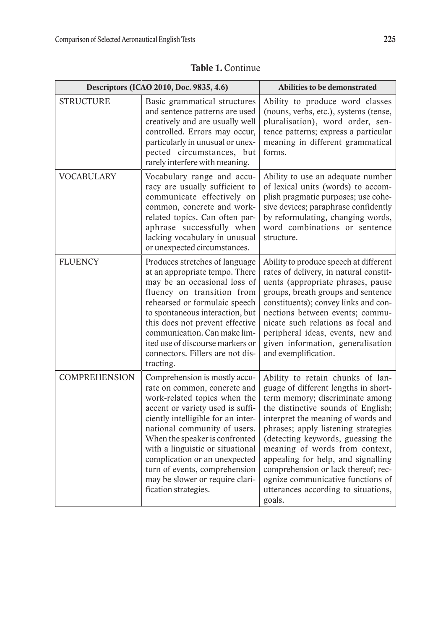|                      | Descriptors (ICAO 2010, Doc. 9835, 4.6)                                                                                                                                                                                                                                                                                                                                                                    | <b>Abilities to be demonstrated</b>                                                                                                                                                                                                                                                                                                                                                                                                                                      |
|----------------------|------------------------------------------------------------------------------------------------------------------------------------------------------------------------------------------------------------------------------------------------------------------------------------------------------------------------------------------------------------------------------------------------------------|--------------------------------------------------------------------------------------------------------------------------------------------------------------------------------------------------------------------------------------------------------------------------------------------------------------------------------------------------------------------------------------------------------------------------------------------------------------------------|
| <b>STRUCTURE</b>     | Basic grammatical structures<br>and sentence patterns are used<br>creatively and are usually well<br>controlled. Errors may occur,<br>particularly in unusual or unex-<br>pected circumstances, but<br>rarely interfere with meaning.                                                                                                                                                                      | Ability to produce word classes<br>(nouns, verbs, etc.), systems (tense,<br>pluralisation), word order, sen-<br>tence patterns; express a particular<br>meaning in different grammatical<br>forms.                                                                                                                                                                                                                                                                       |
| <b>VOCABULARY</b>    | Vocabulary range and accu-<br>racy are usually sufficient to<br>communicate effectively on<br>common, concrete and work-<br>related topics. Can often par-<br>aphrase successfully when<br>lacking vocabulary in unusual<br>or unexpected circumstances.                                                                                                                                                   | Ability to use an adequate number<br>of lexical units (words) to accom-<br>plish pragmatic purposes; use cohe-<br>sive devices; paraphrase confidently<br>by reformulating, changing words,<br>word combinations or sentence<br>structure.                                                                                                                                                                                                                               |
| <b>FLUENCY</b>       | Produces stretches of language<br>at an appropriate tempo. There<br>may be an occasional loss of<br>fluency on transition from<br>rehearsed or formulaic speech<br>to spontaneous interaction, but<br>this does not prevent effective<br>communication. Can make lim-<br>ited use of discourse markers or<br>connectors. Fillers are not dis-<br>tracting.                                                 | Ability to produce speech at different<br>rates of delivery, in natural constit-<br>uents (appropriate phrases, pause<br>groups, breath groups and sentence<br>constituents); convey links and con-<br>nections between events; commu-<br>nicate such relations as focal and<br>peripheral ideas, events, new and<br>given information, generalisation<br>and exemplification.                                                                                           |
| <b>COMPREHENSION</b> | Comprehension is mostly accu-<br>rate on common, concrete and<br>work-related topics when the<br>accent or variety used is suffi-<br>ciently intelligible for an inter-<br>national community of users.<br>When the speaker is confronted<br>with a linguistic or situational<br>complication or an unexpected<br>turn of events, comprehension<br>may be slower or require clari-<br>fication strategies. | Ability to retain chunks of lan-<br>guage of different lengths in short-<br>term memory; discriminate among<br>the distinctive sounds of English;<br>interpret the meaning of words and<br>phrases; apply listening strategies<br>(detecting keywords, guessing the<br>meaning of words from context,<br>appealing for help, and signalling<br>comprehension or lack thereof; rec-<br>ognize communicative functions of<br>utterances according to situations,<br>goals. |

|  |  |  | Table 1. Continue |
|--|--|--|-------------------|
|--|--|--|-------------------|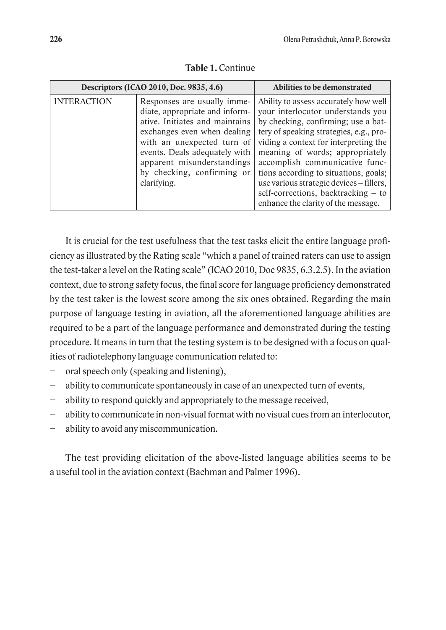|                    | Descriptors (ICAO 2010, Doc. 9835, 4.6)                                                                                                                                                                                                                                  | Abilities to be demonstrated                                                                                                                                                                                                                                                                                                                                                                                                                  |
|--------------------|--------------------------------------------------------------------------------------------------------------------------------------------------------------------------------------------------------------------------------------------------------------------------|-----------------------------------------------------------------------------------------------------------------------------------------------------------------------------------------------------------------------------------------------------------------------------------------------------------------------------------------------------------------------------------------------------------------------------------------------|
| <b>INTERACTION</b> | Responses are usually imme-<br>diate, appropriate and inform-<br>ative. Initiates and maintains<br>exchanges even when dealing<br>with an unexpected turn of<br>events. Deals adequately with<br>apparent misunderstandings<br>by checking, confirming or<br>clarifying. | Ability to assess accurately how well<br>your interlocutor understands you<br>by checking, confirming; use a bat-<br>tery of speaking strategies, e.g., pro-<br>viding a context for interpreting the<br>meaning of words; appropriately<br>accomplish communicative func-<br>tions according to situations, goals;<br>use various strategic devices – fillers,<br>self-corrections, backtracking – to<br>enhance the clarity of the message. |

**Table 1.** Continue

It is crucial for the test usefulness that the test tasks elicit the entire language proficiency as illustrated by the Rating scale "which a panel of trained raters can use to assign the test-taker a level on the Rating scale" (ICAO 2010, Doc 9835, 6.3.2.5). In the aviation context, due to strong safety focus, the final score for language proficiency demonstrated by the test taker is the lowest score among the six ones obtained. Regarding the main purpose of language testing in aviation, all the aforementioned language abilities are required to be a part of the language performance and demonstrated during the testing procedure. It means in turn that the testing system is to be designed with a focus on qualities of radiotelephony language communication related to:

- oral speech only (speaking and listening),
- ability to communicate spontaneously in case of an unexpected turn of events,
- − ability to respond quickly and appropriately to the message received,
- ability to communicate in non-visual format with no visual cues from an interlocutor,
- ability to avoid any miscommunication.

The test providing elicitation of the above-listed language abilities seems to be a useful tool in the aviation context (Bachman and Palmer 1996).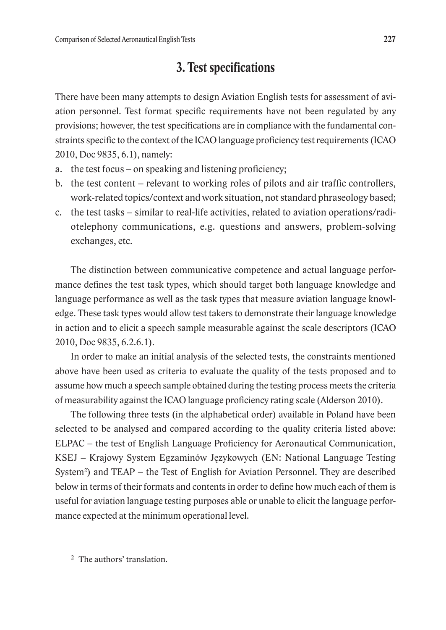## **3. Test specifications**

There have been many attempts to design Aviation English tests for assessment of aviation personnel. Test format specific requirements have not been regulated by any provisions; however, the test specifications are in compliance with the fundamental constraints specific to the context of the ICAO language proficiency test requirements (ICAO 2010, Doc 9835, 6.1), namely:

- a. the test focus on speaking and listening proficiency;
- b. the test content relevant to working roles of pilots and air traffic controllers, work-related topics/context and work situation, not standard phraseology based;
- c. the test tasks similar to real-life activities, related to aviation operations/radiotelephony communications, e.g. questions and answers, problem-solving exchanges, etc.

The distinction between communicative competence and actual language performance defines the test task types, which should target both language knowledge and language performance as well as the task types that measure aviation language knowledge. These task types would allow test takers to demonstrate their language knowledge in action and to elicit a speech sample measurable against the scale descriptors (ICAO 2010, Doc 9835, 6.2.6.1).

In order to make an initial analysis of the selected tests, the constraints mentioned above have been used as criteria to evaluate the quality of the tests proposed and to assume how much a speech sample obtained during the testing process meets the criteria of measurability against the ICAO language proficiency rating scale (Alderson 2010).

The following three tests (in the alphabetical order) available in Poland have been selected to be analysed and compared according to the quality criteria listed above: ELPAC – the test of English Language Proficiency for Aeronautical Communication, KSEJ – Krajowy System Egzaminów Językowych (EN: National Language Testing System<sup>2</sup>) and TEAP – the Test of English for Aviation Personnel. They are described below in terms of their formats and contents in order to define how much each of them is useful for aviation language testing purposes able or unable to elicit the language performance expected at the minimum operational level.

<sup>2</sup> The authors' translation.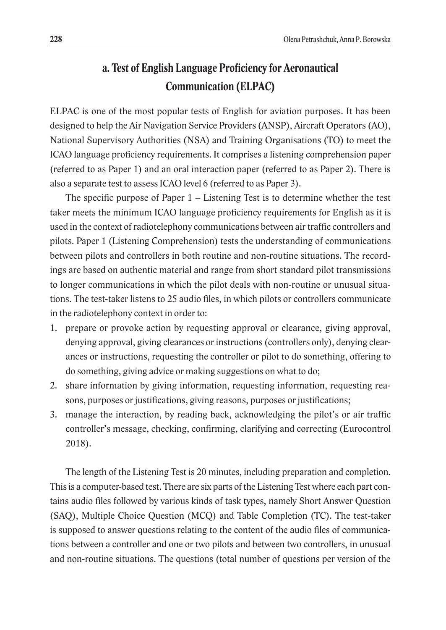# **a. Test of English Language Proficiency for Aeronautical Communication (ELPAC)**

ELPAC is one of the most popular tests of English for aviation purposes. It has been designed to help the Air Navigation Service Providers (ANSP), Aircraft Operators (AO), National Supervisory Authorities (NSA) and Training Organisations (TO) to meet the ICAO language proficiency requirements. It comprises a listening comprehension paper (referred to as Paper 1) and an oral interaction paper (referred to as Paper 2). There is also a separate test to assess ICAO level 6 (referred to as Paper 3).

The specific purpose of Paper  $1 -$  Listening Test is to determine whether the test taker meets the minimum ICAO language proficiency requirements for English as it is used in the context of radiotelephony communications between air traffic controllers and pilots. Paper 1 (Listening Comprehension) tests the understanding of communications between pilots and controllers in both routine and non-routine situations. The recordings are based on authentic material and range from short standard pilot transmissions to longer communications in which the pilot deals with non-routine or unusual situations. The test-taker listens to 25 audio files, in which pilots or controllers communicate in the radiotelephony context in order to:

- 1. prepare or provoke action by requesting approval or clearance, giving approval, denying approval, giving clearances or instructions (controllers only), denying clearances or instructions, requesting the controller or pilot to do something, offering to do something, giving advice or making suggestions on what to do;
- 2. share information by giving information, requesting information, requesting reasons, purposes or justifications, giving reasons, purposes or justifications;
- 3. manage the interaction, by reading back, acknowledging the pilot's or air traffic controller's message, checking, confirming, clarifying and correcting (Eurocontrol 2018).

The length of the Listening Test is 20 minutes, including preparation and completion. This is a computer-based test. There are six parts of the Listening Test where each part contains audio files followed by various kinds of task types, namely Short Answer Question (SAQ), Multiple Choice Question (MCQ) and Table Completion (TC). The test-taker is supposed to answer questions relating to the content of the audio files of communications between a controller and one or two pilots and between two controllers, in unusual and non-routine situations. The questions (total number of questions per version of the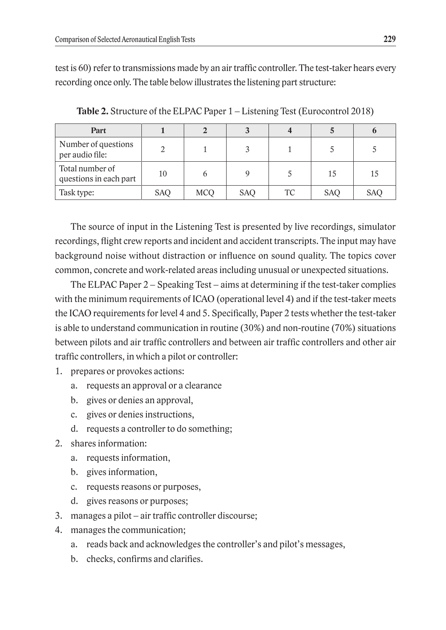test is 60) refer to transmissions made by an air traffic controller. The test-taker hears every recording once only. The table below illustrates the listening part structure:

| Part                                      |            |            |            |    |            |            |
|-------------------------------------------|------------|------------|------------|----|------------|------------|
| Number of questions<br>per audio file:    |            |            |            |    |            |            |
| Total number of<br>questions in each part | 10         |            |            |    | 15         | 15         |
| Task type:                                | <b>SAO</b> | <b>MCO</b> | <b>SAO</b> | TC | <b>SAO</b> | <b>SAO</b> |

**Table 2.** Structure of the ELPAC Paper 1 – Listening Test (Eurocontrol 2018)

The source of input in the Listening Test is presented by live recordings, simulator recordings, flight crew reports and incident and accident transcripts. The input may have background noise without distraction or influence on sound quality. The topics cover common, concrete and work-related areas including unusual or unexpected situations.

The ELPAC Paper  $2 -$  Speaking Test  $-$  aims at determining if the test-taker complies with the minimum requirements of ICAO (operational level 4) and if the test-taker meets the ICAO requirements for level 4 and 5. Specifically, Paper 2 tests whether the test-taker is able to understand communication in routine (30%) and non-routine (70%) situations between pilots and air traffic controllers and between air traffic controllers and other air traffic controllers, in which a pilot or controller:

- 1. prepares or provokes actions:
	- a. requests an approval or a clearance
	- b. gives or denies an approval,
	- c. gives or denies instructions,
	- d. requests a controller to do something;
- 2. shares information:
	- a. requests information,
	- b. gives information,
	- c. requests reasons or purposes,
	- d. gives reasons or purposes;
- 3. manages a pilot air traffic controller discourse;
- 4. manages the communication;
	- a. reads back and acknowledges the controller's and pilot's messages,
	- b. checks, confirms and clarifies.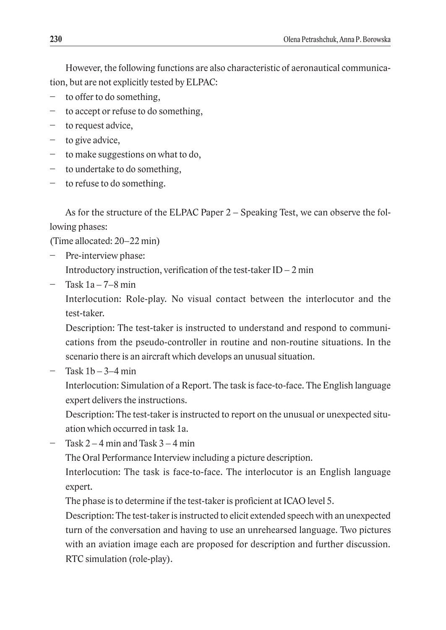However, the following functions are also characteristic of aeronautical communication, but are not explicitly tested by ELPAC:

- to offer to do something,
- − to accept or refuse to do something,
- − to request advice,
- − to give advice,
- − to make suggestions on what to do,
- − to undertake to do something,
- − to refuse to do something.

As for the structure of the ELPAC Paper 2 – Speaking Test, we can observe the following phases:

(Time allocated: 20–22 min)

- Pre-interview phase: Introductory instruction, verification of the test-taker  $ID - 2$  min
- − Task 1a 7–8 min

Interlocution: Role-play. No visual contact between the interlocutor and the test-taker.

Description: The test-taker is instructed to understand and respond to communications from the pseudo-controller in routine and non-routine situations. In the scenario there is an aircraft which develops an unusual situation.

Task  $1b - 3-4$  min

Interlocution: Simulation of a Report. The task is face-to-face. The English language expert delivers the instructions.

Description: The test-taker is instructed to report on the unusual or unexpected situation which occurred in task 1a.

 $Task 2 - 4 min$  and Task  $3 - 4 min$ 

The Oral Performance Interview including a picture description.

Interlocution: The task is face-to-face. The interlocutor is an English language expert.

The phase is to determine if the test-taker is proficient at ICAO level 5.

Description: The test-taker is instructed to elicit extended speech with an unexpected turn of the conversation and having to use an unrehearsed language. Two pictures with an aviation image each are proposed for description and further discussion. RTC simulation (role-play).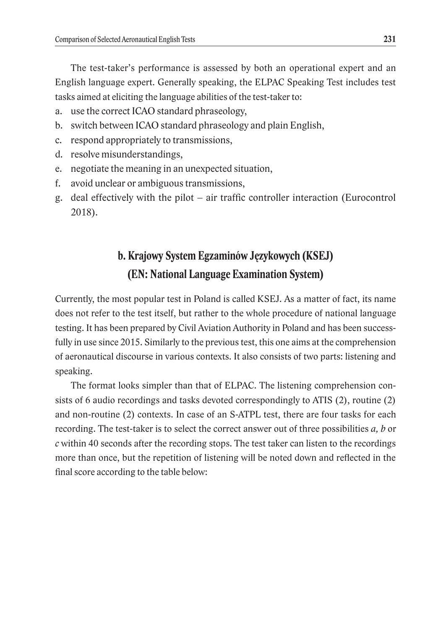The test-taker's performance is assessed by both an operational expert and an English language expert. Generally speaking, the ELPAC Speaking Test includes test tasks aimed at eliciting the language abilities of the test-taker to:

- a. use the correct ICAO standard phraseology,
- b. switch between ICAO standard phraseology and plain English,
- c. respond appropriately to transmissions,
- d. resolve misunderstandings,
- e. negotiate the meaning in an unexpected situation,
- f. avoid unclear or ambiguous transmissions,
- g. deal effectively with the pilot air traffic controller interaction (Eurocontrol 2018).

# **b. Krajowy System Egzaminów Językowych (KSEJ) (EN: National Language Examination System)**

Currently, the most popular test in Poland is called KSEJ. As a matter of fact, its name does not refer to the test itself, but rather to the whole procedure of national language testing. It has been prepared by Civil Aviation Authority in Poland and has been successfully in use since 2015. Similarly to the previous test, this one aims at the comprehension of aeronautical discourse in various contexts. It also consists of two parts: listening and speaking.

The format looks simpler than that of ELPAC. The listening comprehension consists of 6 audio recordings and tasks devoted correspondingly to ATIS (2), routine (2) and non-routine (2) contexts. In case of an S-ATPL test, there are four tasks for each recording. The test-taker is to select the correct answer out of three possibilities *a, b* or *c* within 40 seconds after the recording stops. The test taker can listen to the recordings more than once, but the repetition of listening will be noted down and reflected in the final score according to the table below: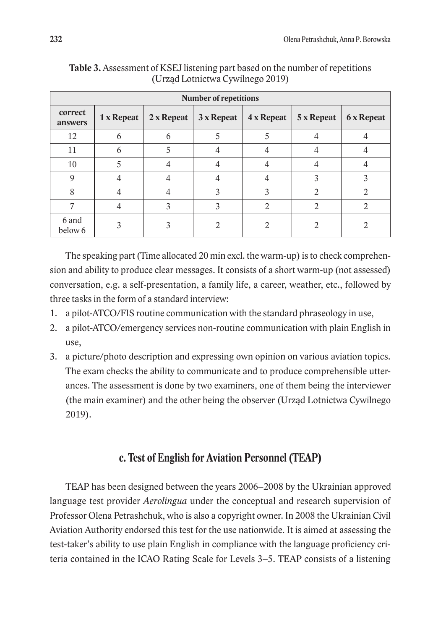| <b>Number of repetitions</b> |            |             |            |            |            |                   |
|------------------------------|------------|-------------|------------|------------|------------|-------------------|
| correct<br>answers           | 1 x Repeat | $2x$ Repeat | 3 x Repeat | 4 x Repeat | 5 x Repeat | <b>6 x Repeat</b> |
| 12                           | h          | n           |            |            |            |                   |
| 11                           |            |             |            |            |            |                   |
| 10                           |            |             |            |            |            |                   |
| 9                            |            |             |            |            | 3          |                   |
| 8                            |            |             |            |            | ാ          |                   |
|                              |            |             |            | റ          |            |                   |
| 6 and<br>below 6             |            |             |            |            |            |                   |

**Table 3.** Assessment of KSEJ listening part based on the number of repetitions (Urząd Lotnictwa Cywilnego 2019)

The speaking part (Time allocated 20 min excl. the warm-up) is to check comprehension and ability to produce clear messages. It consists of a short warm-up (not assessed) conversation, e.g. a self-presentation, a family life, a career, weather, etc., followed by three tasks in the form of a standard interview:

- 1. a pilot-ATCO/FIS routine communication with the standard phraseology in use,
- 2. a pilot-ATCO/emergency services non-routine communication with plain English in use,
- 3. a picture/photo description and expressing own opinion on various aviation topics. The exam checks the ability to communicate and to produce comprehensible utterances. The assessment is done by two examiners, one of them being the interviewer (the main examiner) and the other being the observer (Urząd Lotnictwa Cywilnego 2019).

#### **c. Test of English for Aviation Personnel (TEAP)**

TEAP has been designed between the years 2006–2008 by the Ukrainian approved language test provider *Aerolingua* under the conceptual and research supervision of Professor Olena Petrashchuk, who is also a copyright owner. In 2008 the Ukrainian Civil Aviation Authority endorsed this test for the use nationwide. It is aimed at assessing the test-taker's ability to use plain English in compliance with the language proficiency criteria contained in the ICAO Rating Scale for Levels 3–5. TEAP consists of a listening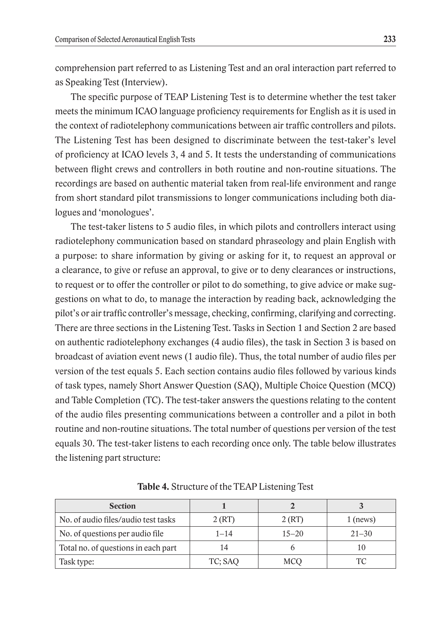comprehension part referred to as Listening Test and an oral interaction part referred to as Speaking Test (Interview).

The specific purpose of TEAP Listening Test is to determine whether the test taker meets the minimum ICAO language proficiency requirements for English as it is used in the context of radiotelephony communications between air traffic controllers and pilots. The Listening Test has been designed to discriminate between the test-taker's level of proficiency at ICAO levels 3, 4 and 5. It tests the understanding of communications between flight crews and controllers in both routine and non-routine situations. The recordings are based on authentic material taken from real-life environment and range from short standard pilot transmissions to longer communications including both dialogues and 'monologues'.

The test-taker listens to 5 audio files, in which pilots and controllers interact using radiotelephony communication based on standard phraseology and plain English with a purpose: to share information by giving or asking for it, to request an approval or a clearance, to give or refuse an approval, to give or to deny clearances or instructions, to request or to offer the controller or pilot to do something, to give advice or make suggestions on what to do, to manage the interaction by reading back, acknowledging the pilot's or air traffic controller's message, checking, confirming, clarifying and correcting. There are three sections in the Listening Test. Tasks in Section 1 and Section 2 are based on authentic radiotelephony exchanges (4 audio files), the task in Section 3 is based on broadcast of aviation event news (1 audio file). Thus, the total number of audio files per version of the test equals 5. Each section contains audio files followed by various kinds of task types, namely Short Answer Question (SAQ), Multiple Choice Question (MCQ) and Table Completion (TC). The test-taker answers the questions relating to the content of the audio files presenting communications between a controller and a pilot in both routine and non-routine situations. The total number of questions per version of the test equals 30. The test-taker listens to each recording once only. The table below illustrates the listening part structure:

| <b>Section</b>                      |          |           |            |
|-------------------------------------|----------|-----------|------------|
| No. of audio files/audio test tasks | 2(RT)    | 2(RT)     | $1$ (news) |
| No. of questions per audio file     | $1 - 14$ | $15 - 20$ | $21 - 30$  |
| Total no. of questions in each part |          |           |            |
| Task type:                          | TC; SAQ  | MCO       |            |

**Table 4.** Structure of the TEAP Listening Test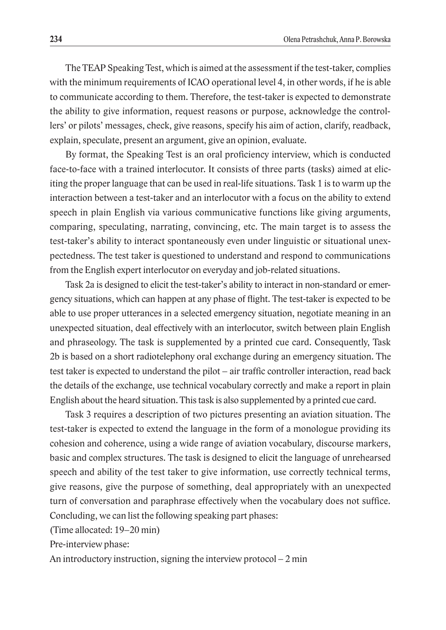The TEAP Speaking Test, which is aimed at the assessment if the test-taker, complies with the minimum requirements of ICAO operational level 4, in other words, if he is able to communicate according to them. Therefore, the test-taker is expected to demonstrate the ability to give information, request reasons or purpose, acknowledge the controllers' or pilots' messages, check, give reasons, specify his aim of action, clarify, readback, explain, speculate, present an argument, give an opinion, evaluate.

By format, the Speaking Test is an oral proficiency interview, which is conducted face-to-face with a trained interlocutor. It consists of three parts (tasks) aimed at eliciting the proper language that can be used in real-life situations. Task 1 is to warm up the interaction between a test-taker and an interlocutor with a focus on the ability to extend speech in plain English via various communicative functions like giving arguments, comparing, speculating, narrating, convincing, etc. The main target is to assess the test-taker's ability to interact spontaneously even under linguistic or situational unexpectedness. The test taker is questioned to understand and respond to communications from the English expert interlocutor on everyday and job-related situations.

Task 2a is designed to elicit the test-taker's ability to interact in non-standard or emergency situations, which can happen at any phase of flight. The test-taker is expected to be able to use proper utterances in a selected emergency situation, negotiate meaning in an unexpected situation, deal effectively with an interlocutor, switch between plain English and phraseology. The task is supplemented by a printed cue card. Consequently, Task 2b is based on a short radiotelephony oral exchange during an emergency situation. The test taker is expected to understand the pilot – air traffic controller interaction, read back the details of the exchange, use technical vocabulary correctly and make a report in plain English about the heard situation. This task is also supplemented by a printed cue card.

Task 3 requires a description of two pictures presenting an aviation situation. The test-taker is expected to extend the language in the form of a monologue providing its cohesion and coherence, using a wide range of aviation vocabulary, discourse markers, basic and complex structures. The task is designed to elicit the language of unrehearsed speech and ability of the test taker to give information, use correctly technical terms, give reasons, give the purpose of something, deal appropriately with an unexpected turn of conversation and paraphrase effectively when the vocabulary does not suffice. Concluding, we can list the following speaking part phases:

(Time allocated: 19–20 min)

Pre-interview phase:

An introductory instruction, signing the interview protocol  $-2$  min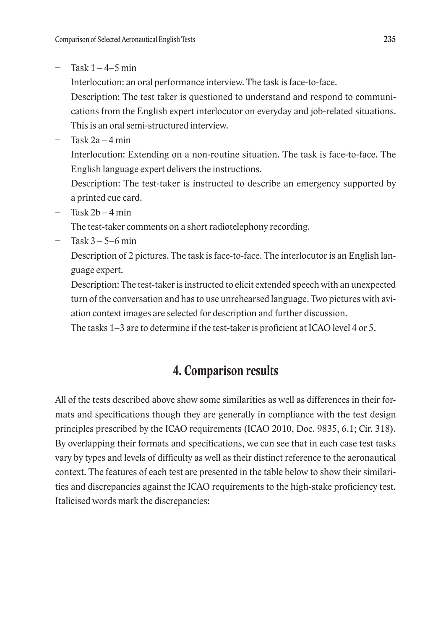− Task 1 – 4–5 min

Interlocution: an oral performance interview. The task is face-to-face.

Description: The test taker is questioned to understand and respond to communications from the English expert interlocutor on everyday and job-related situations. This is an oral semi-structured interview.

− Task 2a – 4 min

Interlocution: Extending on a non-routine situation. The task is face-to-face. The English language expert delivers the instructions.

Description: The test-taker is instructed to describe an emergency supported by a printed cue card.

− Task 2b – 4 min

The test-taker comments on a short radiotelephony recording.

− Task 3 – 5–6 min

Description of 2 pictures. The task is face-to-face. The interlocutor is an English language expert.

Description: The test-taker is instructed to elicit extended speech with an unexpected turn of the conversation and has to use unrehearsed language. Two pictures with aviation context images are selected for description and further discussion.

The tasks 1–3 are to determine if the test-taker is proficient at ICAO level 4 or 5.

# **4. Comparison results**

All of the tests described above show some similarities as well as differences in their formats and specifications though they are generally in compliance with the test design principles prescribed by the ICAO requirements (ICAO 2010, Doc. 9835, 6.1; Cir. 318). By overlapping their formats and specifications, we can see that in each case test tasks vary by types and levels of difficulty as well as their distinct reference to the aeronautical context. The features of each test are presented in the table below to show their similarities and discrepancies against the ICAO requirements to the high-stake proficiency test. Italicised words mark the discrepancies: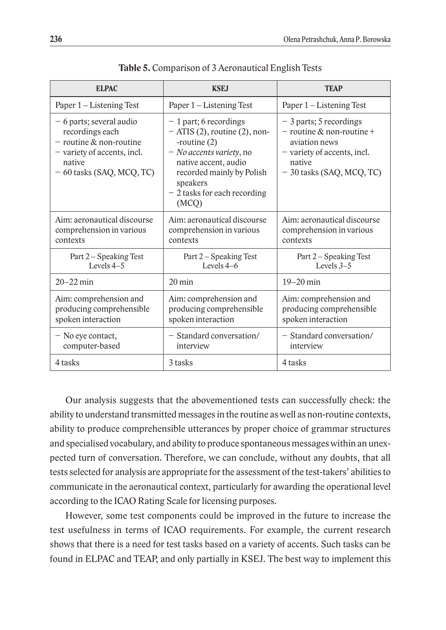| <b>ELPAC</b>                                                                                                                                       | <b>KSEJ</b>                                                                                                                                                                                                         | <b>TEAP</b>                                                                                                                                   |
|----------------------------------------------------------------------------------------------------------------------------------------------------|---------------------------------------------------------------------------------------------------------------------------------------------------------------------------------------------------------------------|-----------------------------------------------------------------------------------------------------------------------------------------------|
| Paper 1 – Listening Test                                                                                                                           | Paper 1 – Listening Test                                                                                                                                                                                            | Paper 1 - Listening Test                                                                                                                      |
| - 6 parts; several audio<br>recordings each<br>$-$ routine $\&$ non-routine<br>- variety of accents, incl.<br>native<br>$-60$ tasks (SAQ, MCQ, TC) | $-1$ part; 6 recordings<br>$-$ ATIS (2), routine (2), non-<br>-routine $(2)$<br>- No accents variety, no<br>native accent, audio<br>recorded mainly by Polish<br>speakers<br>$-2$ tasks for each recording<br>(MCQ) | - 3 parts; 5 recordings<br>$-$ routine & non-routine +<br>aviation news<br>- variety of accents, incl.<br>native<br>- 30 tasks (SAQ, MCQ, TC) |
| Aim: aeronautical discourse<br>comprehension in various<br>contexts                                                                                | Aim: aeronautical discourse<br>comprehension in various<br>contexts                                                                                                                                                 | Aim: aeronautical discourse<br>comprehension in various<br>contexts                                                                           |
| Part 2 – Speaking Test<br>Levels $4-5$                                                                                                             | Part 2 – Speaking Test<br>Levels $4-6$                                                                                                                                                                              | Part 2 - Speaking Test<br>Levels $3-5$                                                                                                        |
| $20 - 22$ min                                                                                                                                      | $20 \text{ min}$                                                                                                                                                                                                    | $19 - 20$ min                                                                                                                                 |
| Aim: comprehension and<br>producing comprehensible<br>spoken interaction                                                                           | Aim: comprehension and<br>producing comprehensible<br>spoken interaction                                                                                                                                            | Aim: comprehension and<br>producing comprehensible<br>spoken interaction                                                                      |
| - No eye contact,<br>computer-based                                                                                                                | - Standard conversation/<br>interview                                                                                                                                                                               | - Standard conversation/<br>interview                                                                                                         |
| 4 tasks                                                                                                                                            | 3 tasks                                                                                                                                                                                                             | 4 tasks                                                                                                                                       |

**Table 5.** Comparison of 3 Aeronautical English Tests

Our analysis suggests that the abovementioned tests can successfully check: the ability to understand transmitted messages in the routine as well as non-routine contexts, ability to produce comprehensible utterances by proper choice of grammar structures and specialised vocabulary, and ability to produce spontaneous messages within an unexpected turn of conversation. Therefore, we can conclude, without any doubts, that all tests selected for analysis are appropriate for the assessment of the test-takers' abilities to communicate in the aeronautical context, particularly for awarding the operational level according to the ICAO Rating Scale for licensing purposes.

However, some test components could be improved in the future to increase the test usefulness in terms of ICAO requirements. For example, the current research shows that there is a need for test tasks based on a variety of accents. Such tasks can be found in ELPAC and TEAP, and only partially in KSEJ. The best way to implement this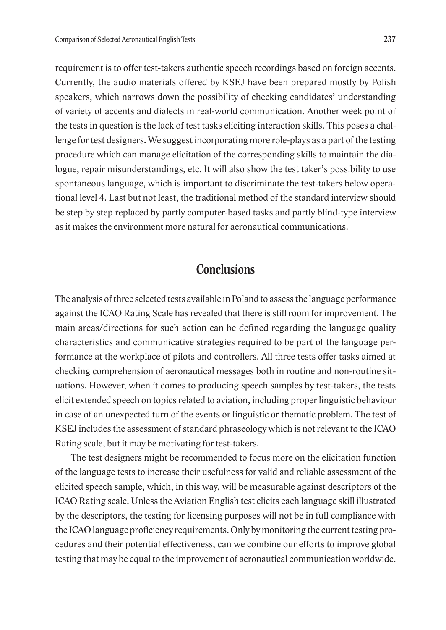requirement is to offer test-takers authentic speech recordings based on foreign accents. Currently, the audio materials offered by KSEJ have been prepared mostly by Polish speakers, which narrows down the possibility of checking candidates' understanding of variety of accents and dialects in real-world communication. Another week point of the tests in question is the lack of test tasks eliciting interaction skills. This poses a challenge for test designers. We suggest incorporating more role-plays as a part of the testing procedure which can manage elicitation of the corresponding skills to maintain the dialogue, repair misunderstandings, etc. It will also show the test taker's possibility to use spontaneous language, which is important to discriminate the test-takers below operational level 4. Last but not least, the traditional method of the standard interview should be step by step replaced by partly computer-based tasks and partly blind-type interview as it makes the environment more natural for aeronautical communications.

## **Conclusions**

The analysis of three selected tests available in Poland to assess the language performance against the ICAO Rating Scale has revealed that there is still room for improvement. The main areas/directions for such action can be defined regarding the language quality characteristics and communicative strategies required to be part of the language performance at the workplace of pilots and controllers. All three tests offer tasks aimed at checking comprehension of aeronautical messages both in routine and non-routine situations. However, when it comes to producing speech samples by test-takers, the tests elicit extended speech on topics related to aviation, including proper linguistic behaviour in case of an unexpected turn of the events or linguistic or thematic problem. The test of KSEJ includes the assessment of standard phraseology which is not relevant to the ICAO Rating scale, but it may be motivating for test-takers.

The test designers might be recommended to focus more on the elicitation function of the language tests to increase their usefulness for valid and reliable assessment of the elicited speech sample, which, in this way, will be measurable against descriptors of the ICAO Rating scale. Unless the Aviation English test elicits each language skill illustrated by the descriptors, the testing for licensing purposes will not be in full compliance with the ICAO language proficiency requirements. Only by monitoring the current testing procedures and their potential effectiveness, can we combine our efforts to improve global testing that may be equal to the improvement of aeronautical communication worldwide.